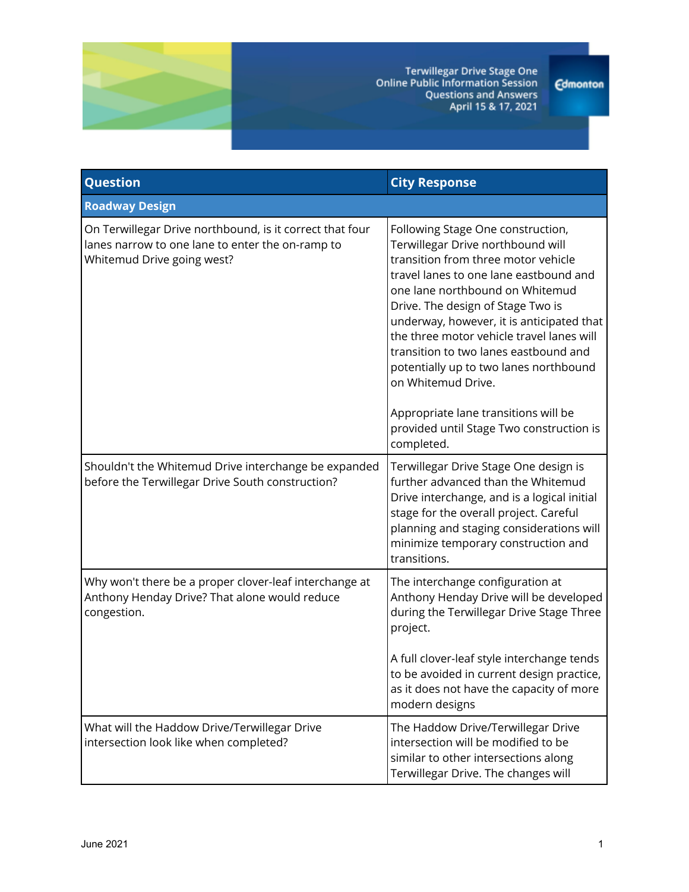

Terwillegar Drive Stage One<br>Online Public Information Session<br>Questions and Answers<br>April 15 & 17, 2021

**Edmonton** 

| Question                                                                                                                                   | <b>City Response</b>                                                                                                                                                                                                                                                                                                                                                                                                                                                                                                                 |  |
|--------------------------------------------------------------------------------------------------------------------------------------------|--------------------------------------------------------------------------------------------------------------------------------------------------------------------------------------------------------------------------------------------------------------------------------------------------------------------------------------------------------------------------------------------------------------------------------------------------------------------------------------------------------------------------------------|--|
| <b>Roadway Design</b>                                                                                                                      |                                                                                                                                                                                                                                                                                                                                                                                                                                                                                                                                      |  |
| On Terwillegar Drive northbound, is it correct that four<br>lanes narrow to one lane to enter the on-ramp to<br>Whitemud Drive going west? | Following Stage One construction,<br>Terwillegar Drive northbound will<br>transition from three motor vehicle<br>travel lanes to one lane eastbound and<br>one lane northbound on Whitemud<br>Drive. The design of Stage Two is<br>underway, however, it is anticipated that<br>the three motor vehicle travel lanes will<br>transition to two lanes eastbound and<br>potentially up to two lanes northbound<br>on Whitemud Drive.<br>Appropriate lane transitions will be<br>provided until Stage Two construction is<br>completed. |  |
| Shouldn't the Whitemud Drive interchange be expanded<br>before the Terwillegar Drive South construction?                                   | Terwillegar Drive Stage One design is<br>further advanced than the Whitemud<br>Drive interchange, and is a logical initial<br>stage for the overall project. Careful<br>planning and staging considerations will<br>minimize temporary construction and<br>transitions.                                                                                                                                                                                                                                                              |  |
| Why won't there be a proper clover-leaf interchange at<br>Anthony Henday Drive? That alone would reduce<br>congestion.                     | The interchange configuration at<br>Anthony Henday Drive will be developed<br>during the Terwillegar Drive Stage Three<br>project.<br>A full clover-leaf style interchange tends<br>to be avoided in current design practice,                                                                                                                                                                                                                                                                                                        |  |
|                                                                                                                                            | as it does not have the capacity of more<br>modern designs                                                                                                                                                                                                                                                                                                                                                                                                                                                                           |  |
| What will the Haddow Drive/Terwillegar Drive<br>intersection look like when completed?                                                     | The Haddow Drive/Terwillegar Drive<br>intersection will be modified to be<br>similar to other intersections along<br>Terwillegar Drive. The changes will                                                                                                                                                                                                                                                                                                                                                                             |  |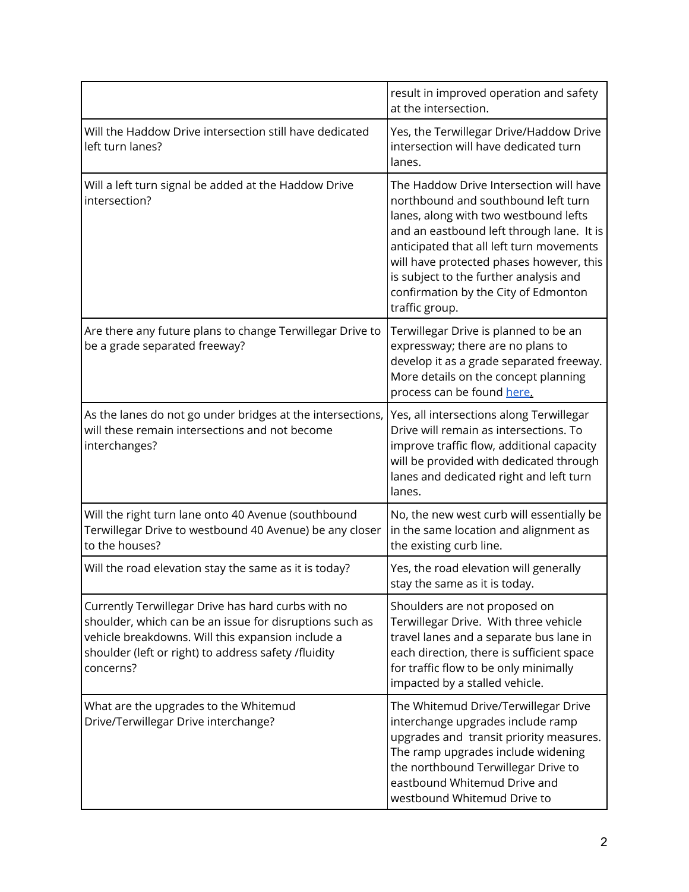|                                                                                                                                                                                                                                         | result in improved operation and safety<br>at the intersection.                                                                                                                                                                                                                                                                                                  |
|-----------------------------------------------------------------------------------------------------------------------------------------------------------------------------------------------------------------------------------------|------------------------------------------------------------------------------------------------------------------------------------------------------------------------------------------------------------------------------------------------------------------------------------------------------------------------------------------------------------------|
| Will the Haddow Drive intersection still have dedicated<br>left turn lanes?                                                                                                                                                             | Yes, the Terwillegar Drive/Haddow Drive<br>intersection will have dedicated turn<br>lanes.                                                                                                                                                                                                                                                                       |
| Will a left turn signal be added at the Haddow Drive<br>intersection?                                                                                                                                                                   | The Haddow Drive Intersection will have<br>northbound and southbound left turn<br>lanes, along with two westbound lefts<br>and an eastbound left through lane. It is<br>anticipated that all left turn movements<br>will have protected phases however, this<br>is subject to the further analysis and<br>confirmation by the City of Edmonton<br>traffic group. |
| Are there any future plans to change Terwillegar Drive to<br>be a grade separated freeway?                                                                                                                                              | Terwillegar Drive is planned to be an<br>expressway; there are no plans to<br>develop it as a grade separated freeway.<br>More details on the concept planning<br>process can be found here.                                                                                                                                                                     |
| As the lanes do not go under bridges at the intersections,<br>will these remain intersections and not become<br>interchanges?                                                                                                           | Yes, all intersections along Terwillegar<br>Drive will remain as intersections. To<br>improve traffic flow, additional capacity<br>will be provided with dedicated through<br>lanes and dedicated right and left turn<br>lanes.                                                                                                                                  |
| Will the right turn lane onto 40 Avenue (southbound<br>Terwillegar Drive to westbound 40 Avenue) be any closer<br>to the houses?                                                                                                        | No, the new west curb will essentially be<br>in the same location and alignment as<br>the existing curb line.                                                                                                                                                                                                                                                    |
| Will the road elevation stay the same as it is today?                                                                                                                                                                                   | Yes, the road elevation will generally<br>stay the same as it is today.                                                                                                                                                                                                                                                                                          |
| Currently Terwillegar Drive has hard curbs with no<br>shoulder, which can be an issue for disruptions such as<br>vehicle breakdowns. Will this expansion include a<br>shoulder (left or right) to address safety /fluidity<br>concerns? | Shoulders are not proposed on<br>Terwillegar Drive. With three vehicle<br>travel lanes and a separate bus lane in<br>each direction, there is sufficient space<br>for traffic flow to be only minimally<br>impacted by a stalled vehicle.                                                                                                                        |
| What are the upgrades to the Whitemud<br>Drive/Terwillegar Drive interchange?                                                                                                                                                           | The Whitemud Drive/Terwillegar Drive<br>interchange upgrades include ramp<br>upgrades and transit priority measures.<br>The ramp upgrades include widening<br>the northbound Terwillegar Drive to<br>eastbound Whitemud Drive and<br>westbound Whitemud Drive to                                                                                                 |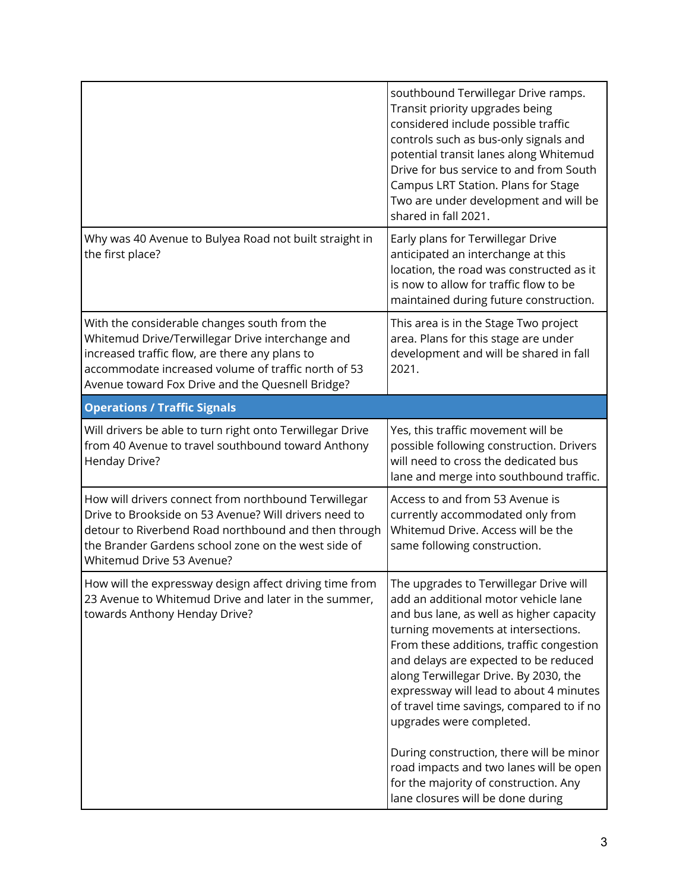|                                                                                                                                                                                                                                                               | southbound Terwillegar Drive ramps.<br>Transit priority upgrades being<br>considered include possible traffic<br>controls such as bus-only signals and<br>potential transit lanes along Whitemud<br>Drive for bus service to and from South<br>Campus LRT Station. Plans for Stage<br>Two are under development and will be<br>shared in fall 2021.                                                                                                                                                                                                                                      |
|---------------------------------------------------------------------------------------------------------------------------------------------------------------------------------------------------------------------------------------------------------------|------------------------------------------------------------------------------------------------------------------------------------------------------------------------------------------------------------------------------------------------------------------------------------------------------------------------------------------------------------------------------------------------------------------------------------------------------------------------------------------------------------------------------------------------------------------------------------------|
| Why was 40 Avenue to Bulyea Road not built straight in<br>the first place?                                                                                                                                                                                    | Early plans for Terwillegar Drive<br>anticipated an interchange at this<br>location, the road was constructed as it<br>is now to allow for traffic flow to be<br>maintained during future construction.                                                                                                                                                                                                                                                                                                                                                                                  |
| With the considerable changes south from the<br>Whitemud Drive/Terwillegar Drive interchange and<br>increased traffic flow, are there any plans to<br>accommodate increased volume of traffic north of 53<br>Avenue toward Fox Drive and the Quesnell Bridge? | This area is in the Stage Two project<br>area. Plans for this stage are under<br>development and will be shared in fall<br>2021.                                                                                                                                                                                                                                                                                                                                                                                                                                                         |
| <b>Operations / Traffic Signals</b>                                                                                                                                                                                                                           |                                                                                                                                                                                                                                                                                                                                                                                                                                                                                                                                                                                          |
| Will drivers be able to turn right onto Terwillegar Drive<br>from 40 Avenue to travel southbound toward Anthony<br>Henday Drive?                                                                                                                              | Yes, this traffic movement will be<br>possible following construction. Drivers<br>will need to cross the dedicated bus<br>lane and merge into southbound traffic.                                                                                                                                                                                                                                                                                                                                                                                                                        |
| How will drivers connect from northbound Terwillegar<br>Drive to Brookside on 53 Avenue? Will drivers need to<br>detour to Riverbend Road northbound and then through<br>the Brander Gardens school zone on the west side of<br>Whitemud Drive 53 Avenue?     | Access to and from 53 Avenue is<br>currently accommodated only from<br>Whitemud Drive. Access will be the<br>same following construction.                                                                                                                                                                                                                                                                                                                                                                                                                                                |
| How will the expressway design affect driving time from<br>23 Avenue to Whitemud Drive and later in the summer,<br>towards Anthony Henday Drive?                                                                                                              | The upgrades to Terwillegar Drive will<br>add an additional motor vehicle lane<br>and bus lane, as well as higher capacity<br>turning movements at intersections.<br>From these additions, traffic congestion<br>and delays are expected to be reduced<br>along Terwillegar Drive. By 2030, the<br>expressway will lead to about 4 minutes<br>of travel time savings, compared to if no<br>upgrades were completed.<br>During construction, there will be minor<br>road impacts and two lanes will be open<br>for the majority of construction. Any<br>lane closures will be done during |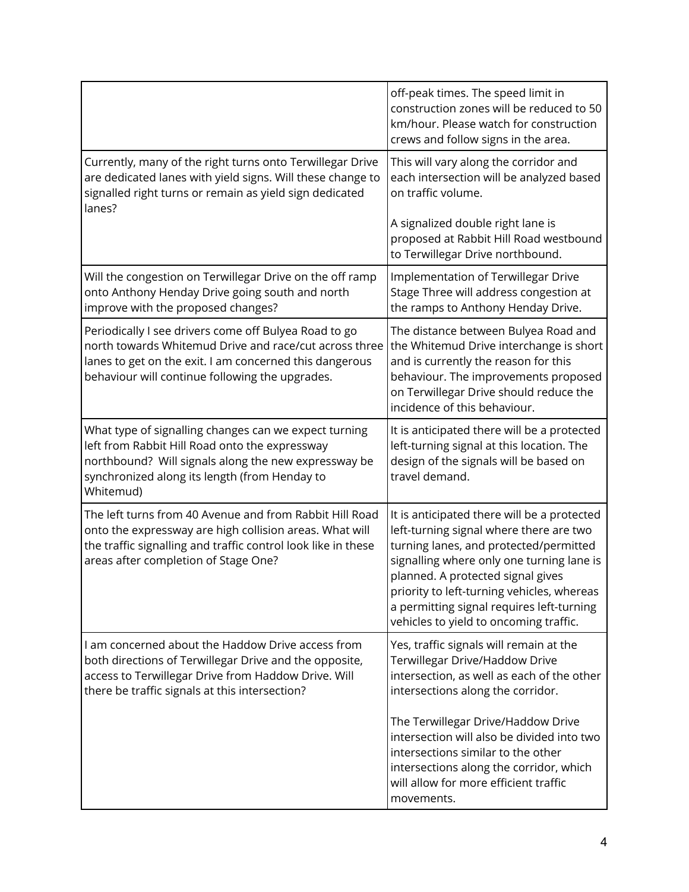|                                                                                                                                                                                                                               | off-peak times. The speed limit in<br>construction zones will be reduced to 50<br>km/hour. Please watch for construction<br>crews and follow signs in the area.                                                                                                                                                                                         |
|-------------------------------------------------------------------------------------------------------------------------------------------------------------------------------------------------------------------------------|---------------------------------------------------------------------------------------------------------------------------------------------------------------------------------------------------------------------------------------------------------------------------------------------------------------------------------------------------------|
| Currently, many of the right turns onto Terwillegar Drive<br>are dedicated lanes with yield signs. Will these change to<br>signalled right turns or remain as yield sign dedicated<br>lanes?                                  | This will vary along the corridor and<br>each intersection will be analyzed based<br>on traffic volume.                                                                                                                                                                                                                                                 |
|                                                                                                                                                                                                                               | A signalized double right lane is<br>proposed at Rabbit Hill Road westbound<br>to Terwillegar Drive northbound.                                                                                                                                                                                                                                         |
| Will the congestion on Terwillegar Drive on the off ramp<br>onto Anthony Henday Drive going south and north<br>improve with the proposed changes?                                                                             | Implementation of Terwillegar Drive<br>Stage Three will address congestion at<br>the ramps to Anthony Henday Drive.                                                                                                                                                                                                                                     |
| Periodically I see drivers come off Bulyea Road to go<br>north towards Whitemud Drive and race/cut across three<br>lanes to get on the exit. I am concerned this dangerous<br>behaviour will continue following the upgrades. | The distance between Bulyea Road and<br>the Whitemud Drive interchange is short<br>and is currently the reason for this<br>behaviour. The improvements proposed<br>on Terwillegar Drive should reduce the<br>incidence of this behaviour.                                                                                                               |
| What type of signalling changes can we expect turning<br>left from Rabbit Hill Road onto the expressway<br>northbound? Will signals along the new expressway be<br>synchronized along its length (from Henday to<br>Whitemud) | It is anticipated there will be a protected<br>left-turning signal at this location. The<br>design of the signals will be based on<br>travel demand.                                                                                                                                                                                                    |
| The left turns from 40 Avenue and from Rabbit Hill Road<br>onto the expressway are high collision areas. What will<br>the traffic signalling and traffic control look like in these<br>areas after completion of Stage One?   | It is anticipated there will be a protected<br>left-turning signal where there are two<br>turning lanes, and protected/permitted<br>signalling where only one turning lane is<br>planned. A protected signal gives<br>priority to left-turning vehicles, whereas<br>a permitting signal requires left-turning<br>vehicles to yield to oncoming traffic. |
| I am concerned about the Haddow Drive access from<br>both directions of Terwillegar Drive and the opposite,<br>access to Terwillegar Drive from Haddow Drive. Will<br>there be traffic signals at this intersection?          | Yes, traffic signals will remain at the<br>Terwillegar Drive/Haddow Drive<br>intersection, as well as each of the other<br>intersections along the corridor.                                                                                                                                                                                            |
|                                                                                                                                                                                                                               | The Terwillegar Drive/Haddow Drive<br>intersection will also be divided into two<br>intersections similar to the other<br>intersections along the corridor, which<br>will allow for more efficient traffic<br>movements.                                                                                                                                |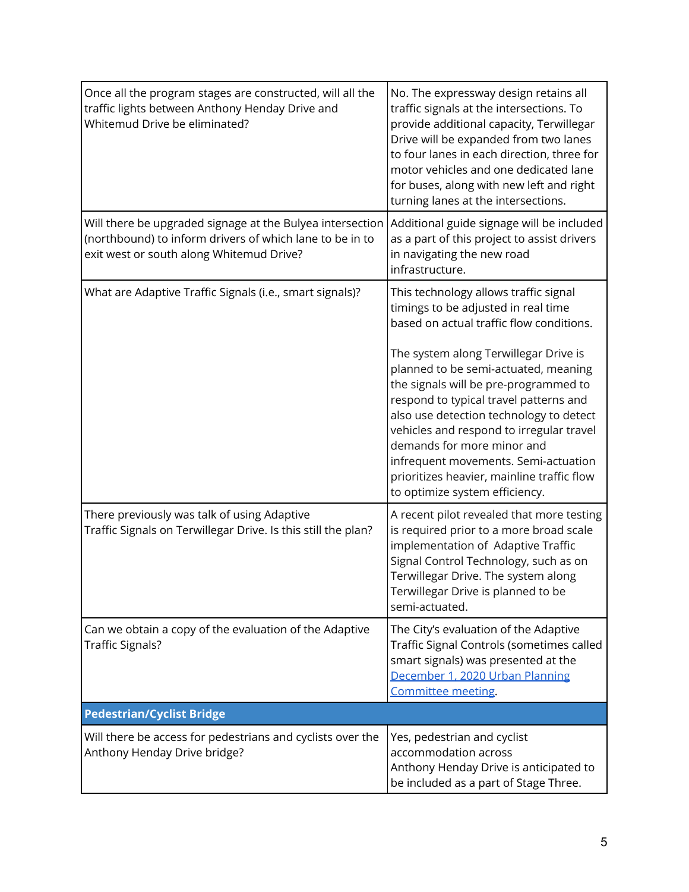| Once all the program stages are constructed, will all the<br>traffic lights between Anthony Henday Drive and<br>Whitemud Drive be eliminated?                     | No. The expressway design retains all<br>traffic signals at the intersections. To<br>provide additional capacity, Terwillegar<br>Drive will be expanded from two lanes<br>to four lanes in each direction, three for<br>motor vehicles and one dedicated lane<br>for buses, along with new left and right<br>turning lanes at the intersections.                                                              |
|-------------------------------------------------------------------------------------------------------------------------------------------------------------------|---------------------------------------------------------------------------------------------------------------------------------------------------------------------------------------------------------------------------------------------------------------------------------------------------------------------------------------------------------------------------------------------------------------|
| Will there be upgraded signage at the Bulyea intersection<br>(northbound) to inform drivers of which lane to be in to<br>exit west or south along Whitemud Drive? | Additional guide signage will be included<br>as a part of this project to assist drivers<br>in navigating the new road<br>infrastructure.                                                                                                                                                                                                                                                                     |
| What are Adaptive Traffic Signals (i.e., smart signals)?                                                                                                          | This technology allows traffic signal<br>timings to be adjusted in real time<br>based on actual traffic flow conditions.                                                                                                                                                                                                                                                                                      |
|                                                                                                                                                                   | The system along Terwillegar Drive is<br>planned to be semi-actuated, meaning<br>the signals will be pre-programmed to<br>respond to typical travel patterns and<br>also use detection technology to detect<br>vehicles and respond to irregular travel<br>demands for more minor and<br>infrequent movements. Semi-actuation<br>prioritizes heavier, mainline traffic flow<br>to optimize system efficiency. |
| There previously was talk of using Adaptive<br>Traffic Signals on Terwillegar Drive. Is this still the plan?                                                      | A recent pilot revealed that more testing<br>is required prior to a more broad scale<br>implementation of Adaptive Traffic<br>Signal Control Technology, such as on<br>Terwillegar Drive. The system along<br>Terwillegar Drive is planned to be<br>semi-actuated.                                                                                                                                            |
| Can we obtain a copy of the evaluation of the Adaptive<br><b>Traffic Signals?</b>                                                                                 | The City's evaluation of the Adaptive<br>Traffic Signal Controls (sometimes called<br>smart signals) was presented at the<br>December 1, 2020 Urban Planning<br>Committee meeting.                                                                                                                                                                                                                            |
| <b>Pedestrian/Cyclist Bridge</b>                                                                                                                                  |                                                                                                                                                                                                                                                                                                                                                                                                               |
| Will there be access for pedestrians and cyclists over the<br>Anthony Henday Drive bridge?                                                                        | Yes, pedestrian and cyclist<br>accommodation across<br>Anthony Henday Drive is anticipated to<br>be included as a part of Stage Three.                                                                                                                                                                                                                                                                        |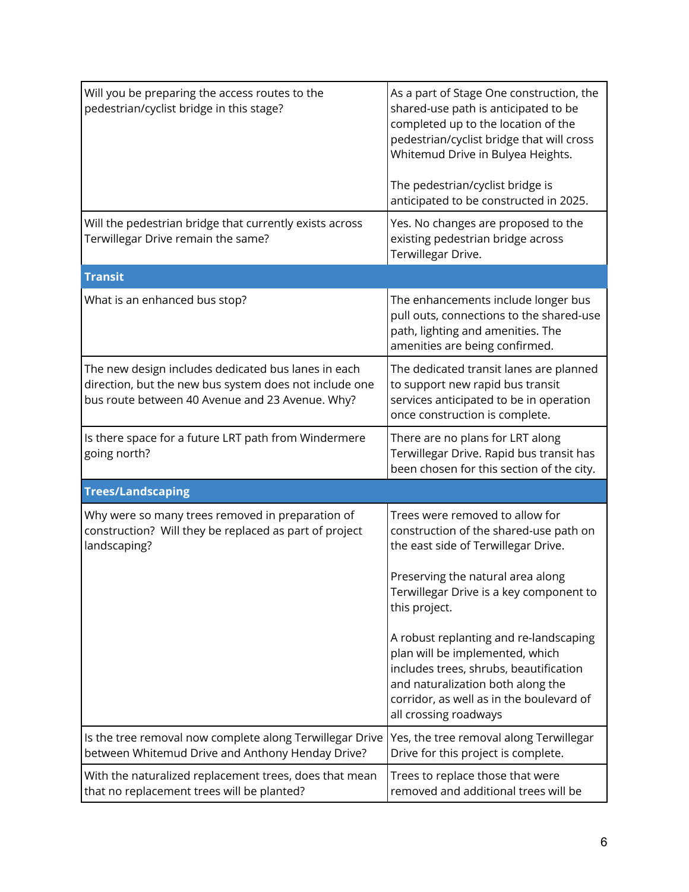| Will you be preparing the access routes to the<br>pedestrian/cyclist bridge in this stage?                                                                       | As a part of Stage One construction, the<br>shared-use path is anticipated to be<br>completed up to the location of the<br>pedestrian/cyclist bridge that will cross<br>Whitemud Drive in Bulyea Heights.<br>The pedestrian/cyclist bridge is<br>anticipated to be constructed in 2025. |
|------------------------------------------------------------------------------------------------------------------------------------------------------------------|-----------------------------------------------------------------------------------------------------------------------------------------------------------------------------------------------------------------------------------------------------------------------------------------|
| Will the pedestrian bridge that currently exists across<br>Terwillegar Drive remain the same?                                                                    | Yes. No changes are proposed to the<br>existing pedestrian bridge across<br>Terwillegar Drive.                                                                                                                                                                                          |
| <b>Transit</b>                                                                                                                                                   |                                                                                                                                                                                                                                                                                         |
| What is an enhanced bus stop?                                                                                                                                    | The enhancements include longer bus<br>pull outs, connections to the shared-use<br>path, lighting and amenities. The<br>amenities are being confirmed.                                                                                                                                  |
| The new design includes dedicated bus lanes in each<br>direction, but the new bus system does not include one<br>bus route between 40 Avenue and 23 Avenue. Why? | The dedicated transit lanes are planned<br>to support new rapid bus transit<br>services anticipated to be in operation<br>once construction is complete.                                                                                                                                |
| Is there space for a future LRT path from Windermere<br>going north?                                                                                             | There are no plans for LRT along<br>Terwillegar Drive. Rapid bus transit has<br>been chosen for this section of the city.                                                                                                                                                               |
| <b>Trees/Landscaping</b>                                                                                                                                         |                                                                                                                                                                                                                                                                                         |
| Why were so many trees removed in preparation of<br>construction? Will they be replaced as part of project<br>landscaping?                                       | Trees were removed to allow for<br>construction of the shared-use path on<br>the east side of Terwillegar Drive.                                                                                                                                                                        |
|                                                                                                                                                                  | Preserving the natural area along<br>Terwillegar Drive is a key component to<br>this project.                                                                                                                                                                                           |
|                                                                                                                                                                  | A robust replanting and re-landscaping<br>plan will be implemented, which<br>includes trees, shrubs, beautification<br>and naturalization both along the<br>corridor, as well as in the boulevard of<br>all crossing roadways                                                           |
| Is the tree removal now complete along Terwillegar Drive<br>between Whitemud Drive and Anthony Henday Drive?                                                     | Yes, the tree removal along Terwillegar<br>Drive for this project is complete.                                                                                                                                                                                                          |
| With the naturalized replacement trees, does that mean<br>that no replacement trees will be planted?                                                             | Trees to replace those that were<br>removed and additional trees will be                                                                                                                                                                                                                |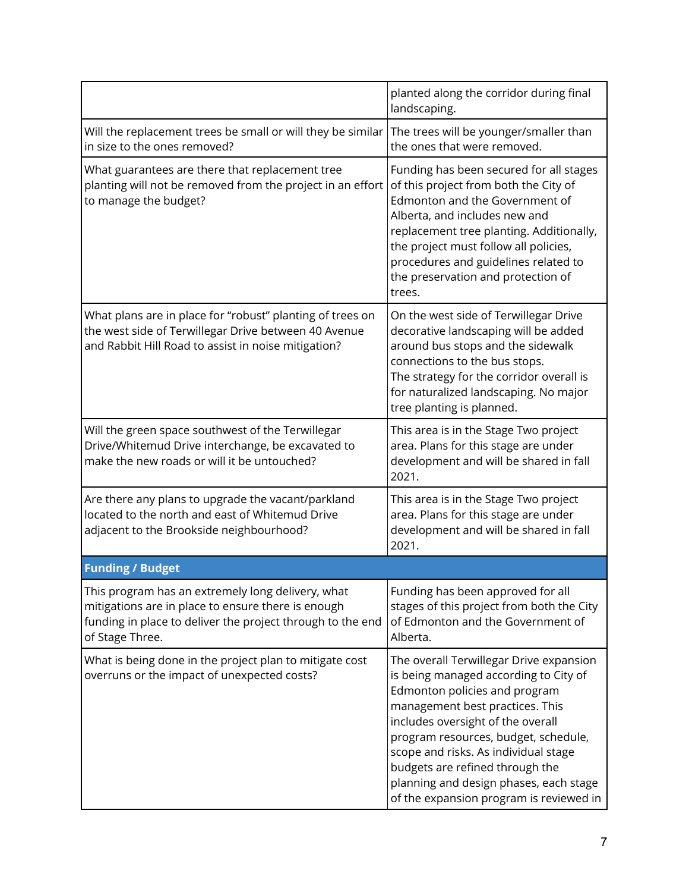|                                                                                                                                                                                          | planted along the corridor during final<br>landscaping.                                                                                                                                                                                                                                                                                                                                           |
|------------------------------------------------------------------------------------------------------------------------------------------------------------------------------------------|---------------------------------------------------------------------------------------------------------------------------------------------------------------------------------------------------------------------------------------------------------------------------------------------------------------------------------------------------------------------------------------------------|
| Will the replacement trees be small or will they be similar<br>in size to the ones removed?                                                                                              | The trees will be younger/smaller than<br>the ones that were removed.                                                                                                                                                                                                                                                                                                                             |
| What guarantees are there that replacement tree<br>planting will not be removed from the project in an effort<br>to manage the budget?                                                   | Funding has been secured for all stages<br>of this project from both the City of<br>Edmonton and the Government of<br>Alberta, and includes new and<br>replacement tree planting. Additionally,<br>the project must follow all policies,<br>procedures and guidelines related to<br>the preservation and protection of<br>trees.                                                                  |
| What plans are in place for "robust" planting of trees on<br>the west side of Terwillegar Drive between 40 Avenue<br>and Rabbit Hill Road to assist in noise mitigation?                 | On the west side of Terwillegar Drive<br>decorative landscaping will be added<br>around bus stops and the sidewalk<br>connections to the bus stops.<br>The strategy for the corridor overall is<br>for naturalized landscaping. No major<br>tree planting is planned.                                                                                                                             |
| Will the green space southwest of the Terwillegar<br>Drive/Whitemud Drive interchange, be excavated to<br>make the new roads or will it be untouched?                                    | This area is in the Stage Two project<br>area. Plans for this stage are under<br>development and will be shared in fall<br>2021.                                                                                                                                                                                                                                                                  |
| Are there any plans to upgrade the vacant/parkland<br>located to the north and east of Whitemud Drive<br>adjacent to the Brookside neighbourhood?                                        | This area is in the Stage Two project<br>area. Plans for this stage are under<br>development and will be shared in fall<br>2021.                                                                                                                                                                                                                                                                  |
| <b>Funding / Budget</b>                                                                                                                                                                  |                                                                                                                                                                                                                                                                                                                                                                                                   |
| This program has an extremely long delivery, what<br>mitigations are in place to ensure there is enough<br>funding in place to deliver the project through to the end<br>of Stage Three. | Funding has been approved for all<br>stages of this project from both the City<br>of Edmonton and the Government of<br>Alberta.                                                                                                                                                                                                                                                                   |
| What is being done in the project plan to mitigate cost<br>overruns or the impact of unexpected costs?                                                                                   | The overall Terwillegar Drive expansion<br>is being managed according to City of<br>Edmonton policies and program<br>management best practices. This<br>includes oversight of the overall<br>program resources, budget, schedule,<br>scope and risks. As individual stage<br>budgets are refined through the<br>planning and design phases, each stage<br>of the expansion program is reviewed in |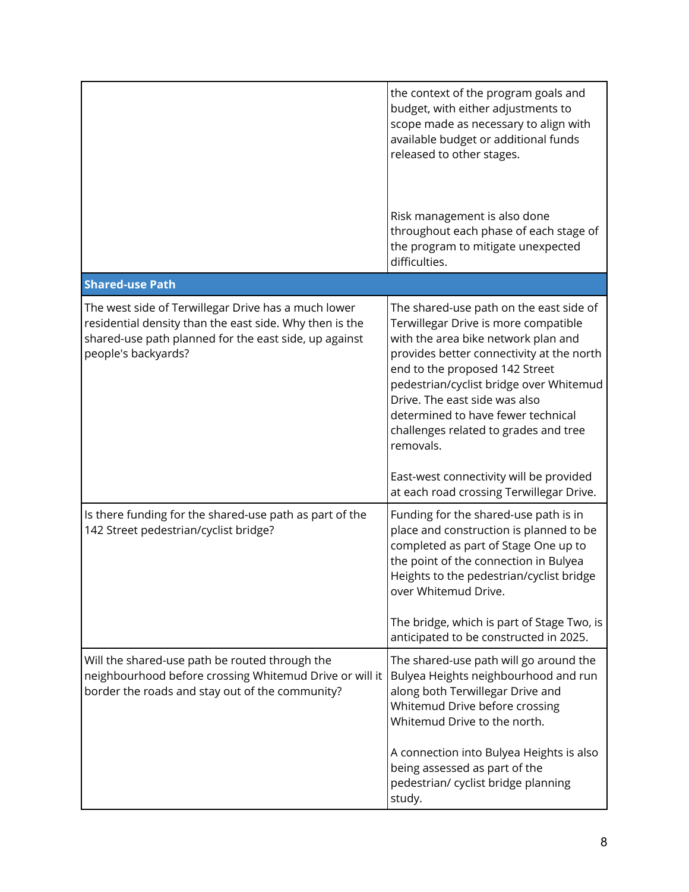|                                                                                                                                                                                                | the context of the program goals and<br>budget, with either adjustments to<br>scope made as necessary to align with<br>available budget or additional funds<br>released to other stages.                                                                                                                                                                                      |
|------------------------------------------------------------------------------------------------------------------------------------------------------------------------------------------------|-------------------------------------------------------------------------------------------------------------------------------------------------------------------------------------------------------------------------------------------------------------------------------------------------------------------------------------------------------------------------------|
|                                                                                                                                                                                                | Risk management is also done<br>throughout each phase of each stage of<br>the program to mitigate unexpected<br>difficulties.                                                                                                                                                                                                                                                 |
| <b>Shared-use Path</b>                                                                                                                                                                         |                                                                                                                                                                                                                                                                                                                                                                               |
| The west side of Terwillegar Drive has a much lower<br>residential density than the east side. Why then is the<br>shared-use path planned for the east side, up against<br>people's backyards? | The shared-use path on the east side of<br>Terwillegar Drive is more compatible<br>with the area bike network plan and<br>provides better connectivity at the north<br>end to the proposed 142 Street<br>pedestrian/cyclist bridge over Whitemud<br>Drive. The east side was also<br>determined to have fewer technical<br>challenges related to grades and tree<br>removals. |
|                                                                                                                                                                                                | East-west connectivity will be provided<br>at each road crossing Terwillegar Drive.                                                                                                                                                                                                                                                                                           |
| Is there funding for the shared-use path as part of the<br>142 Street pedestrian/cyclist bridge?                                                                                               | Funding for the shared-use path is in<br>place and construction is planned to be<br>completed as part of Stage One up to<br>the point of the connection in Bulyea<br>Heights to the pedestrian/cyclist bridge<br>over Whitemud Drive.<br>The bridge, which is part of Stage Two, is                                                                                           |
| Will the shared-use path be routed through the<br>neighbourhood before crossing Whitemud Drive or will it                                                                                      | anticipated to be constructed in 2025.<br>The shared-use path will go around the<br>Bulyea Heights neighbourhood and run                                                                                                                                                                                                                                                      |
| border the roads and stay out of the community?                                                                                                                                                | along both Terwillegar Drive and<br>Whitemud Drive before crossing<br>Whitemud Drive to the north.                                                                                                                                                                                                                                                                            |
|                                                                                                                                                                                                | A connection into Bulyea Heights is also<br>being assessed as part of the<br>pedestrian/ cyclist bridge planning<br>study.                                                                                                                                                                                                                                                    |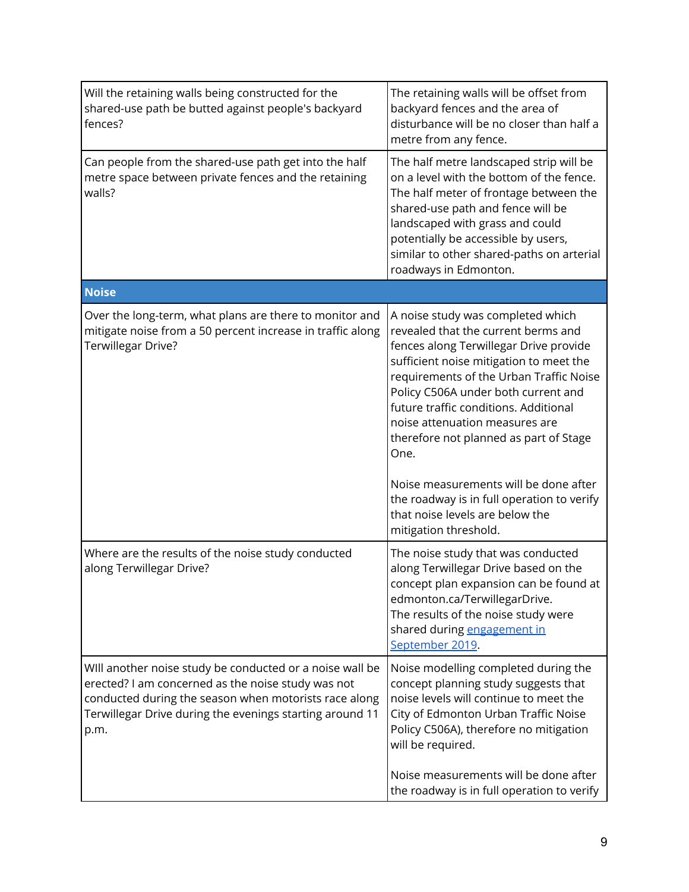| Will the retaining walls being constructed for the<br>shared-use path be butted against people's backyard<br>fences?                                                                                                                        | The retaining walls will be offset from<br>backyard fences and the area of<br>disturbance will be no closer than half a<br>metre from any fence.                                                                                                                                                                                                                                                                                                                                                                                |
|---------------------------------------------------------------------------------------------------------------------------------------------------------------------------------------------------------------------------------------------|---------------------------------------------------------------------------------------------------------------------------------------------------------------------------------------------------------------------------------------------------------------------------------------------------------------------------------------------------------------------------------------------------------------------------------------------------------------------------------------------------------------------------------|
| Can people from the shared-use path get into the half<br>metre space between private fences and the retaining<br>walls?                                                                                                                     | The half metre landscaped strip will be<br>on a level with the bottom of the fence.<br>The half meter of frontage between the<br>shared-use path and fence will be<br>landscaped with grass and could<br>potentially be accessible by users,<br>similar to other shared-paths on arterial<br>roadways in Edmonton.                                                                                                                                                                                                              |
| <b>Noise</b>                                                                                                                                                                                                                                |                                                                                                                                                                                                                                                                                                                                                                                                                                                                                                                                 |
| Over the long-term, what plans are there to monitor and<br>mitigate noise from a 50 percent increase in traffic along<br>Terwillegar Drive?                                                                                                 | A noise study was completed which<br>revealed that the current berms and<br>fences along Terwillegar Drive provide<br>sufficient noise mitigation to meet the<br>requirements of the Urban Traffic Noise<br>Policy C506A under both current and<br>future traffic conditions. Additional<br>noise attenuation measures are<br>therefore not planned as part of Stage<br>One.<br>Noise measurements will be done after<br>the roadway is in full operation to verify<br>that noise levels are below the<br>mitigation threshold. |
| Where are the results of the noise study conducted<br>along Terwillegar Drive?                                                                                                                                                              | The noise study that was conducted<br>along Terwillegar Drive based on the<br>concept plan expansion can be found at<br>edmonton.ca/TerwillegarDrive.<br>The results of the noise study were<br>shared during engagement in<br>September 2019.                                                                                                                                                                                                                                                                                  |
| Will another noise study be conducted or a noise wall be<br>erected? I am concerned as the noise study was not<br>conducted during the season when motorists race along<br>Terwillegar Drive during the evenings starting around 11<br>p.m. | Noise modelling completed during the<br>concept planning study suggests that<br>noise levels will continue to meet the<br>City of Edmonton Urban Traffic Noise<br>Policy C506A), therefore no mitigation<br>will be required.                                                                                                                                                                                                                                                                                                   |
|                                                                                                                                                                                                                                             | Noise measurements will be done after<br>the roadway is in full operation to verify                                                                                                                                                                                                                                                                                                                                                                                                                                             |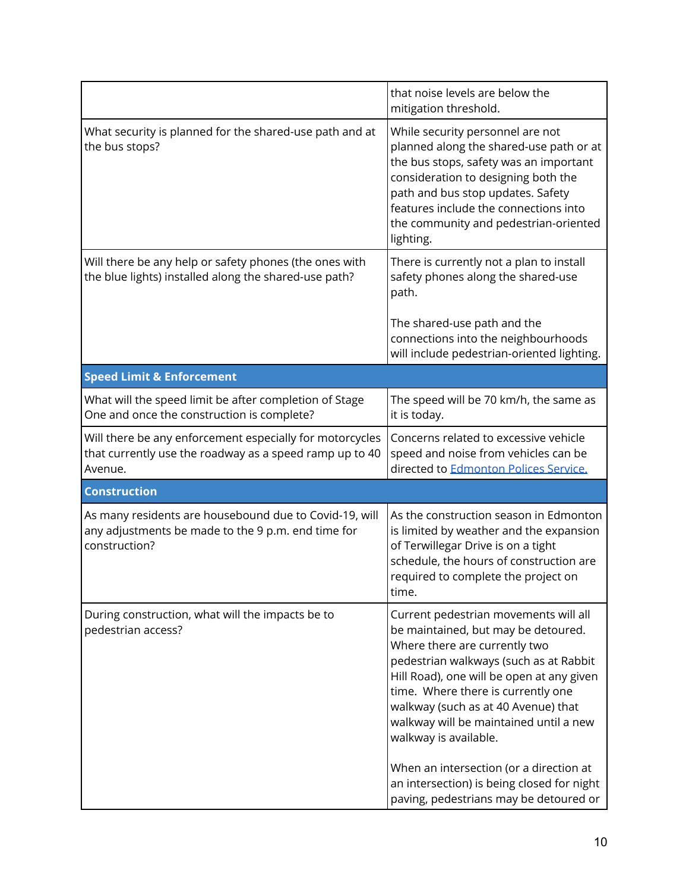|                                                                                                                                | that noise levels are below the<br>mitigation threshold.                                                                                                                                                                                                                                                                                                                                                                                                                                |
|--------------------------------------------------------------------------------------------------------------------------------|-----------------------------------------------------------------------------------------------------------------------------------------------------------------------------------------------------------------------------------------------------------------------------------------------------------------------------------------------------------------------------------------------------------------------------------------------------------------------------------------|
| What security is planned for the shared-use path and at<br>the bus stops?                                                      | While security personnel are not<br>planned along the shared-use path or at<br>the bus stops, safety was an important<br>consideration to designing both the<br>path and bus stop updates. Safety<br>features include the connections into<br>the community and pedestrian-oriented<br>lighting.                                                                                                                                                                                        |
| Will there be any help or safety phones (the ones with<br>the blue lights) installed along the shared-use path?                | There is currently not a plan to install<br>safety phones along the shared-use<br>path.                                                                                                                                                                                                                                                                                                                                                                                                 |
|                                                                                                                                | The shared-use path and the<br>connections into the neighbourhoods<br>will include pedestrian-oriented lighting.                                                                                                                                                                                                                                                                                                                                                                        |
| <b>Speed Limit &amp; Enforcement</b>                                                                                           |                                                                                                                                                                                                                                                                                                                                                                                                                                                                                         |
| What will the speed limit be after completion of Stage<br>One and once the construction is complete?                           | The speed will be 70 km/h, the same as<br>it is today.                                                                                                                                                                                                                                                                                                                                                                                                                                  |
| Will there be any enforcement especially for motorcycles<br>that currently use the roadway as a speed ramp up to 40<br>Avenue. | Concerns related to excessive vehicle<br>speed and noise from vehicles can be<br>directed to Edmonton Polices Service.                                                                                                                                                                                                                                                                                                                                                                  |
| <b>Construction</b>                                                                                                            |                                                                                                                                                                                                                                                                                                                                                                                                                                                                                         |
| As many residents are housebound due to Covid-19, will<br>any adjustments be made to the 9 p.m. end time for<br>construction?  | As the construction season in Edmonton<br>is limited by weather and the expansion<br>of Terwillegar Drive is on a tight<br>schedule, the hours of construction are<br>required to complete the project on<br>time.                                                                                                                                                                                                                                                                      |
| During construction, what will the impacts be to<br>pedestrian access?                                                         | Current pedestrian movements will all<br>be maintained, but may be detoured.<br>Where there are currently two<br>pedestrian walkways (such as at Rabbit<br>Hill Road), one will be open at any given<br>time. Where there is currently one<br>walkway (such as at 40 Avenue) that<br>walkway will be maintained until a new<br>walkway is available.<br>When an intersection (or a direction at<br>an intersection) is being closed for night<br>paving, pedestrians may be detoured or |